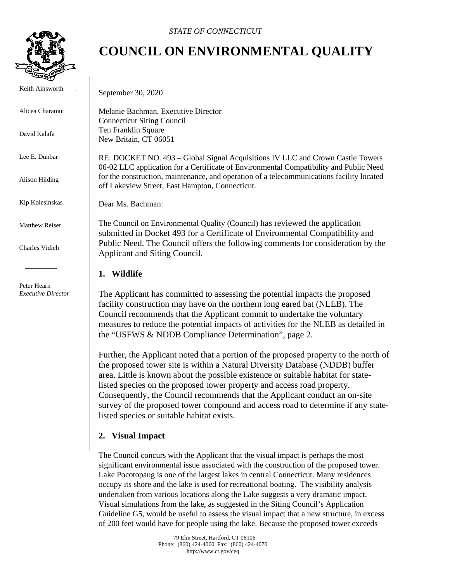

Keith Ainsworth

Alicea Charamut

David Kalafa

Lee E. Dunbar

Alison Hilding

Kip Kolesinskas

Matthew Reiser

Charles Vidich

 Peter Hearn *Executive Director*

## **COUNCIL ON ENVIRONMENTAL QUALITY**

September 30, 2020

Melanie Bachman, Executive Director Connecticut Siting Council Ten Franklin Square New Britain, CT 06051

RE: DOCKET NO. 493 – Global Signal Acquisitions IV LLC and Crown Castle Towers 06-02 LLC application for a Certificate of Environmental Compatibility and Public Need for the construction, maintenance, and operation of a telecommunications facility located off Lakeview Street, East Hampton, Connecticut.

Dear Ms. Bachman:

The Council on Environmental Quality (Council) has reviewed the application submitted in Docket 493 for a Certificate of Environmental Compatibility and Public Need. The Council offers the following comments for consideration by the Applicant and Siting Council.

## **1. Wildlife**

The Applicant has committed to assessing the potential impacts the proposed facility construction may have on the northern long eared bat (NLEB). The Council recommends that the Applicant commit to undertake the voluntary measures to reduce the potential impacts of activities for the NLEB as detailed in the "USFWS & NDDB Compliance Determination", page 2.

Further, the Applicant noted that a portion of the proposed property to the north of the proposed tower site is within a Natural Diversity Database (NDDB) buffer area. Little is known about the possible existence or suitable habitat for statelisted species on the proposed tower property and access road property. Consequently, the Council recommends that the Applicant conduct an on-site survey of the proposed tower compound and access road to determine if any statelisted species or suitable habitat exists.

## **2. Visual Impact**

The Council concurs with the Applicant that the visual impact is perhaps the most significant environmental issue associated with the construction of the proposed tower. Lake Pocotopaug is one of the largest lakes in central Connecticut. Many residences occupy its shore and the lake is used for recreational boating. The visibility analysis undertaken from various locations along the Lake suggests a very dramatic impact. Visual simulations from the lake, as suggested in the Siting Council's Application Guideline G5, would be useful to assess the visual impact that a new structure, in excess of 200 feet would have for people using the lake. Because the proposed tower exceeds